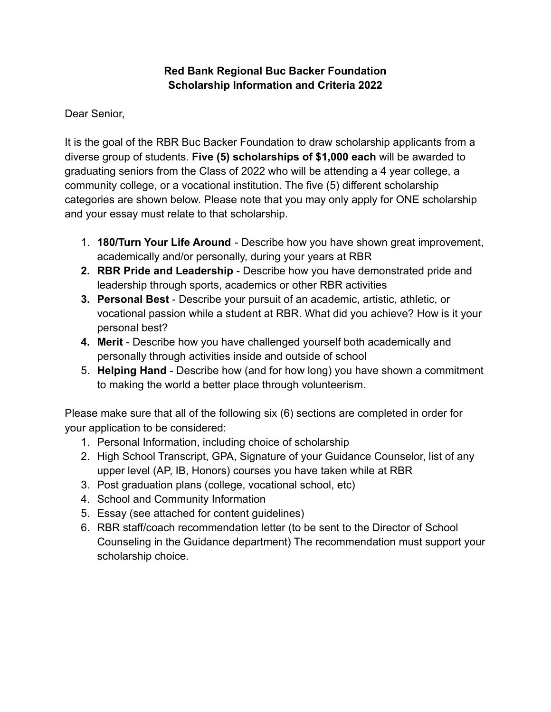## **Red Bank Regional Buc Backer Foundation Scholarship Information and Criteria 2022**

Dear Senior,

It is the goal of the RBR Buc Backer Foundation to draw scholarship applicants from a diverse group of students. **Five (5) scholarships of \$1,000 each** will be awarded to graduating seniors from the Class of 2022 who will be attending a 4 year college, a community college, or a vocational institution. The five (5) different scholarship categories are shown below. Please note that you may only apply for ONE scholarship and your essay must relate to that scholarship.

- 1. **180/Turn Your Life Around** Describe how you have shown great improvement, academically and/or personally, during your years at RBR
- **2. RBR Pride and Leadership** Describe how you have demonstrated pride and leadership through sports, academics or other RBR activities
- **3. Personal Best** Describe your pursuit of an academic, artistic, athletic, or vocational passion while a student at RBR. What did you achieve? How is it your personal best?
- **4. Merit** Describe how you have challenged yourself both academically and personally through activities inside and outside of school
- 5. **Helping Hand** Describe how (and for how long) you have shown a commitment to making the world a better place through volunteerism.

Please make sure that all of the following six (6) sections are completed in order for your application to be considered:

- 1. Personal Information, including choice of scholarship
- 2. High School Transcript, GPA, Signature of your Guidance Counselor, list of any upper level (AP, IB, Honors) courses you have taken while at RBR
- 3. Post graduation plans (college, vocational school, etc)
- 4. School and Community Information
- 5. Essay (see attached for content guidelines)
- 6. RBR staff/coach recommendation letter (to be sent to the Director of School Counseling in the Guidance department) The recommendation must support your scholarship choice.